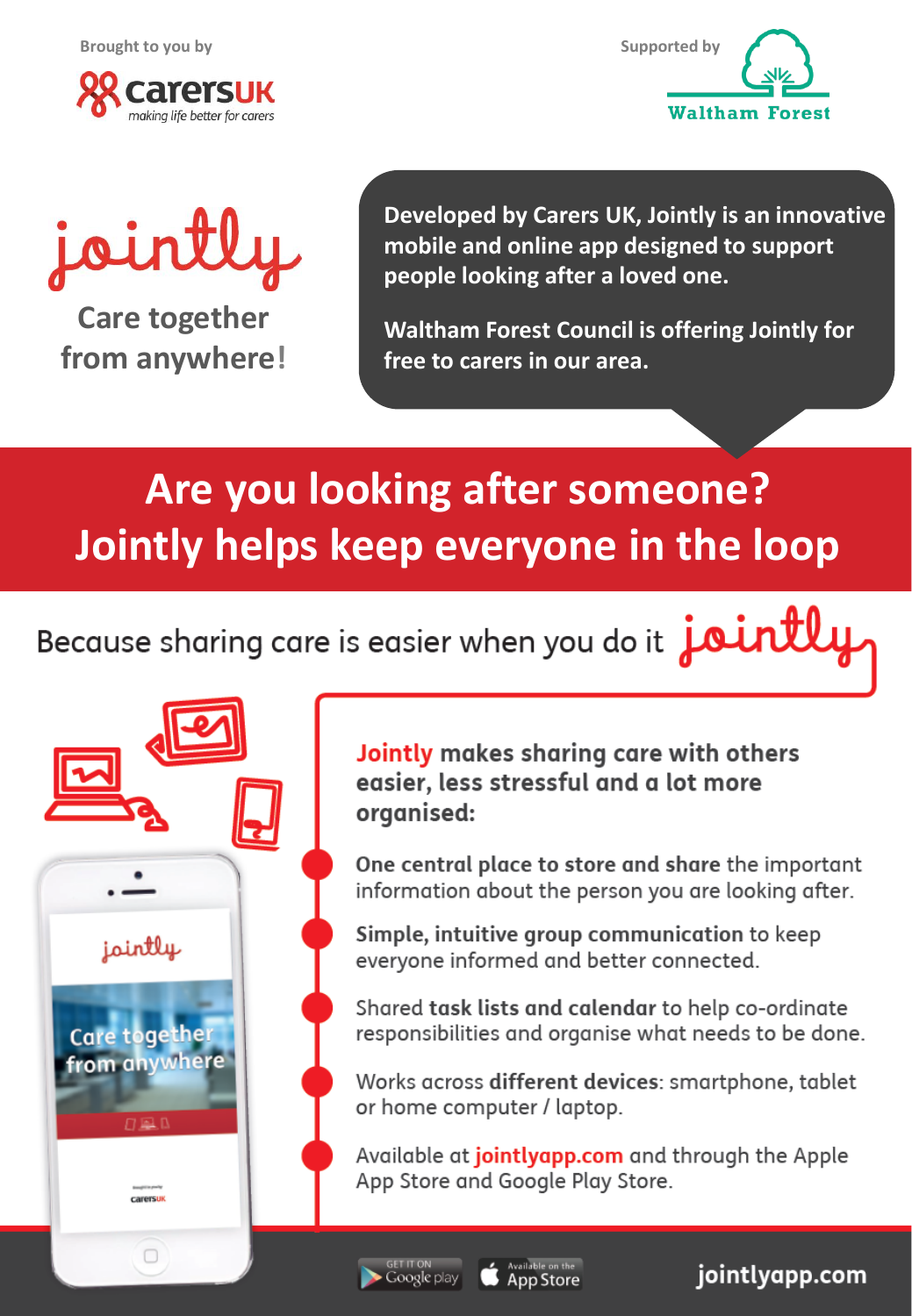**Brought to you by Supported by Supported by** 





# jointly

**Care together from anywhere!**

Group messaging

from anywhere

**Care together** 

jointly

Tasks/lists

carersul

 $\Box$ 

**Developed by Carers UK, Jointly is an innovative mobile and online app designed to support people looking after a loved one.** 

**Waltham Forest Council is offering Jointly for free to carers in our area.** 

## **Are you looking after someone? Jointly helps keep everyone in the loop**

Because sharing care is easier when you do it  $\mathop{joint}\limits$ 



One central place to store and share the important information about the person you are looking after.

Simple, intuitive group communication to keep everyone informed and better connected.

Shared task lists and calendar to help co-ordinate responsibilities and organise what needs to be done.

Works across different devices: smartphone, tablet or home computer / laptop.

App Store and Google Play Store. Available at *jointlyapp.com* and through the Apple